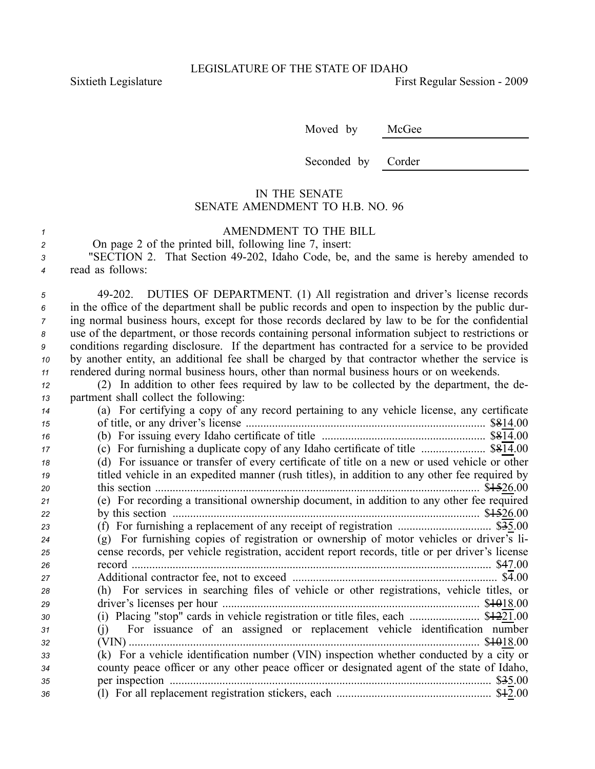Sixtieth Legislature First Regular Session - 2009

Moved by McGee

Seconded by Corder

## IN THE SENATE SENATE AMENDMENT TO H.B. NO. 96

## *<sup>1</sup>* AMENDMENT TO THE BILL

| On page 2 of the printed bill, following line 7, insert:                 |
|--------------------------------------------------------------------------|
| "SECTION 2 That Section 49-202 Idaho Code be and the same is hereby amen |

*<sup>3</sup>* "SECTION 2. That Section 49202, Idaho Code, be, and the same is hereby amended to *<sup>4</sup>* read as follows:

 49202. DUTIES OF DEPARTMENT. (1) All registration and driver's license records in the office of the department shall be public records and open to inspection by the public dur- ing normal business hours, excep<sup>t</sup> for those records declared by law to be for the confidential use of the department, or those records containing personal information subject to restrictions or conditions regarding disclosure. If the department has contracted for <sup>a</sup> service to be provided by another entity, an additional fee shall be charged by that contractor whether the service is rendered during normal business hours, other than normal business hours or on weekends.

*<sup>12</sup>* (2) In addition to other fees required by law to be collected by the department, the de-*<sup>13</sup>* partment shall collect the following:

| 14 | (a) For certifying a copy of any record pertaining to any vehicle license, any certificate      |
|----|-------------------------------------------------------------------------------------------------|
| 15 | of title, or any driver's license                                                               |
| 16 |                                                                                                 |
| 17 | (c) For furnishing a duplicate copy of any Idaho certificate of title  \$814.00                 |
| 18 | (d) For issuance or transfer of every certificate of title on a new or used vehicle or other    |
| 19 | titled vehicle in an expedited manner (rush titles), in addition to any other fee required by   |
| 20 | this section<br>\$1526.00                                                                       |
| 21 | (e) For recording a transitional ownership document, in addition to any other fee required      |
| 22 | by this section                                                                                 |
| 23 |                                                                                                 |
| 24 | $(g)$ For furnishing copies of registration or ownership of motor vehicles or driver's li-      |
| 25 | cense records, per vehicle registration, accident report records, title or per driver's license |
| 26 | \$47.00<br>record.                                                                              |
| 27 |                                                                                                 |
| 28 | (h) For services in searching files of vehicle or other registrations, vehicle titles, or       |
| 29 |                                                                                                 |
| 30 | (i) Placing "stop" cards in vehicle registration or title files, each  \$ $\frac{1221.00}{21}$  |
| 31 | For issuance of an assigned or replacement vehicle identification number<br>(1)                 |
| 32 | \$\\$018.00                                                                                     |
| 33 | (k) For a vehicle identification number (VIN) inspection whether conducted by a city or         |
| 34 | county peace officer or any other peace officer or designated agent of the state of Idaho,      |
| 35 | \$35.00                                                                                         |
| 36 |                                                                                                 |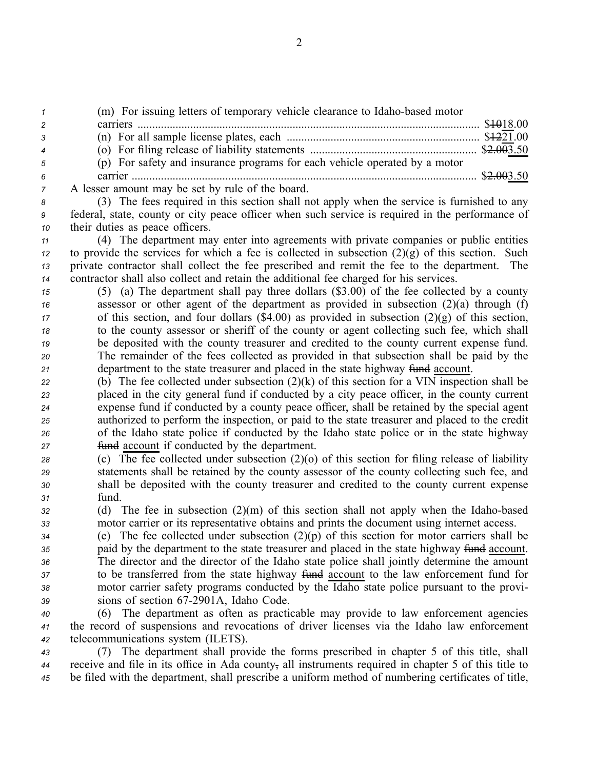(m) For issuing letters of temporary vehicle clearance to Idaho-based motor carriers ..................................................................................................................... \$1018.00 (n) For all sample license plates, each .................................................................. \$1221.00 (o) For filing release of liability statements ......................................................... \$2.003.50 (p) For safety and insurance programs for each vehicle operated by <sup>a</sup> motor carrier ...................................................................................................................... \$2.003.50 A lesser amount may be set by rule of the board. (3) The fees required in this section shall not apply when the service is furnished to any federal, state, county or city peace officer when such service is required in the performance of their duties as peace officers. (4) The department may enter into agreements with private companies or public entities to provide the services for which a fee is collected in subsection  $(2)(g)$  of this section. Such private contractor shall collect the fee prescribed and remit the fee to the department. The contractor shall also collect and retain the additional fee charged for his services. (5) (a) The department shall pay three dollars (\$3.00) of the fee collected by <sup>a</sup> county assessor or other agen<sup>t</sup> of the department as provided in subsection (2)(a) through (f) of this section, and four dollars (\$4.00) as provided in subsection (2)(g) of this section, to the county assessor or sheriff of the county or agen<sup>t</sup> collecting such fee, which shall be deposited with the county treasurer and credited to the county current expense fund. The remainder of the fees collected as provided in that subsection shall be paid by the 21 department to the state treasurer and placed in the state highway fund account. (b) The fee collected under subsection (2)(k) of this section for <sup>a</sup> VIN inspection shall be placed in the city general fund if conducted by <sup>a</sup> city peace officer, in the county current expense fund if conducted by <sup>a</sup> county peace officer, shall be retained by the special agen<sup>t</sup> authorized to perform the inspection, or paid to the state treasurer and placed to the credit of the Idaho state police if conducted by the Idaho state police or in the state highway fund account if conducted by the department. (c) The fee collected under subsection (2)(o) of this section for filing release of liability statements shall be retained by the county assessor of the county collecting such fee, and shall be deposited with the county treasurer and credited to the county current expense *<sup>31</sup>* fund. (d) The fee in subsection (2)(m) of this section shall not apply when the Idahobased motor carrier or its representative obtains and prints the document using internet access. (e) The fee collected under subsection (2)(p) of this section for motor carriers shall be paid by the department to the state treasurer and placed in the state highway fund account. The director and the director of the Idaho state police shall jointly determine the amount to be transferred from the state highway fund account to the law enforcement fund for

*<sup>38</sup>* motor carrier safety programs conducted by the Idaho state police pursuan<sup>t</sup> to the provi-*<sup>39</sup>* sions of section 672901A, Idaho Code.

*<sup>40</sup>* (6) The department as often as practicable may provide to law enforcement agencies *<sup>41</sup>* the record of suspensions and revocations of driver licenses via the Idaho law enforcement *<sup>42</sup>* telecommunications system (ILETS).

*<sup>43</sup>* (7) The department shall provide the forms prescribed in chapter 5 of this title, shall *<sup>44</sup>* receive and file in its office in Ada county, all instruments required in chapter 5 of this title to *<sup>45</sup>* be filed with the department, shall prescribe <sup>a</sup> uniform method of numbering certificates of title,

2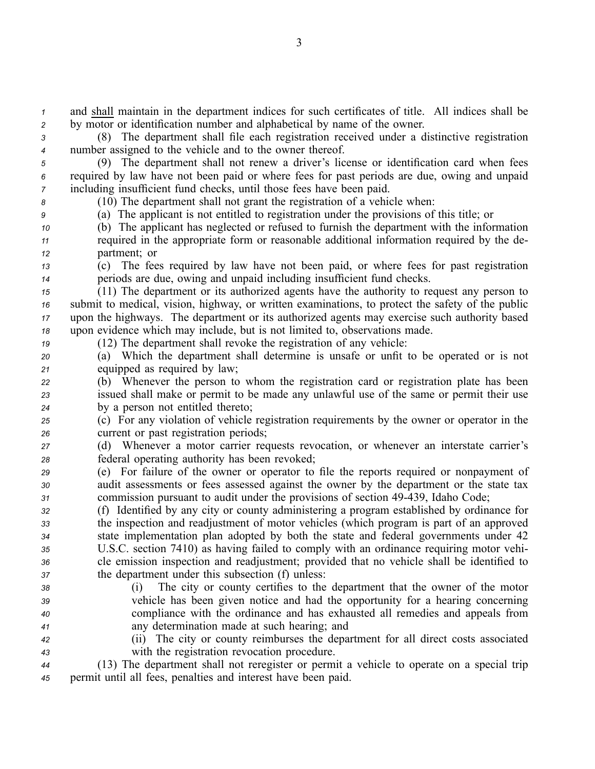*<sup>1</sup>* and shall maintain in the department indices for such certificates of title. All indices shall be *<sup>2</sup>* by motor or identification number and alphabetical by name of the owner.

*<sup>3</sup>* (8) The department shall file each registration received under <sup>a</sup> distinctive registration *<sup>4</sup>* number assigned to the vehicle and to the owner thereof.

*<sup>5</sup>* (9) The department shall not renew <sup>a</sup> driver's license or identification card when fees *<sup>6</sup>* required by law have not been paid or where fees for pas<sup>t</sup> periods are due, owing and unpaid *<sup>7</sup>* including insufficient fund checks, until those fees have been paid.

*<sup>8</sup>* (10) The department shall not gran<sup>t</sup> the registration of <sup>a</sup> vehicle when:

*<sup>9</sup>* (a) The applicant is not entitled to registration under the provisions of this title; or

- *<sup>10</sup>* (b) The applicant has neglected or refused to furnish the department with the information *<sup>11</sup>* required in the appropriate form or reasonable additional information required by the de-*<sup>12</sup>* partment; or
- 

*<sup>13</sup>* (c) The fees required by law have not been paid, or where fees for pas<sup>t</sup> registration *<sup>14</sup>* periods are due, owing and unpaid including insufficient fund checks.

 (11) The department or its authorized agents have the authority to reques<sup>t</sup> any person to submit to medical, vision, highway, or written examinations, to protect the safety of the public upon the highways. The department or its authorized agents may exercise such authority based upon evidence which may include, but is not limited to, observations made.

*<sup>19</sup>* (12) The department shall revoke the registration of any vehicle:

*<sup>20</sup>* (a) Which the department shall determine is unsafe or unfit to be operated or is not *<sup>21</sup>* equipped as required by law;

*<sup>22</sup>* (b) Whenever the person to whom the registration card or registration plate has been *<sup>23</sup>* issued shall make or permit to be made any unlawful use of the same or permit their use *<sup>24</sup>* by <sup>a</sup> person not entitled thereto;

*<sup>25</sup>* (c) For any violation of vehicle registration requirements by the owner or operator in the *<sup>26</sup>* current or pas<sup>t</sup> registration periods;

*<sup>27</sup>* (d) Whenever <sup>a</sup> motor carrier requests revocation, or whenever an interstate carrier's *<sup>28</sup>* federal operating authority has been revoked;

*<sup>29</sup>* (e) For failure of the owner or operator to file the reports required or nonpaymen<sup>t</sup> of *<sup>30</sup>* audit assessments or fees assessed against the owner by the department or the state tax *<sup>31</sup>* commission pursuan<sup>t</sup> to audit under the provisions of section 49439, Idaho Code;

 (f) Identified by any city or county administering <sup>a</sup> program established by ordinance for the inspection and readjustment of motor vehicles (which program is par<sup>t</sup> of an approved state implementation plan adopted by both the state and federal governments under 42 U.S.C. section 7410) as having failed to comply with an ordinance requiring motor vehi- cle emission inspection and readjustment; provided that no vehicle shall be identified to the department under this subsection (f) unless:

- 
- 

 (i) The city or county certifies to the department that the owner of the motor vehicle has been given notice and had the opportunity for <sup>a</sup> hearing concerning compliance with the ordinance and has exhausted all remedies and appeals from any determination made at such hearing; and

*<sup>42</sup>* (ii) The city or county reimburses the department for all direct costs associated *<sup>43</sup>* with the registration revocation procedure.

*<sup>44</sup>* (13) The department shall not reregister or permit <sup>a</sup> vehicle to operate on <sup>a</sup> special trip *<sup>45</sup>* permit until all fees, penalties and interest have been paid.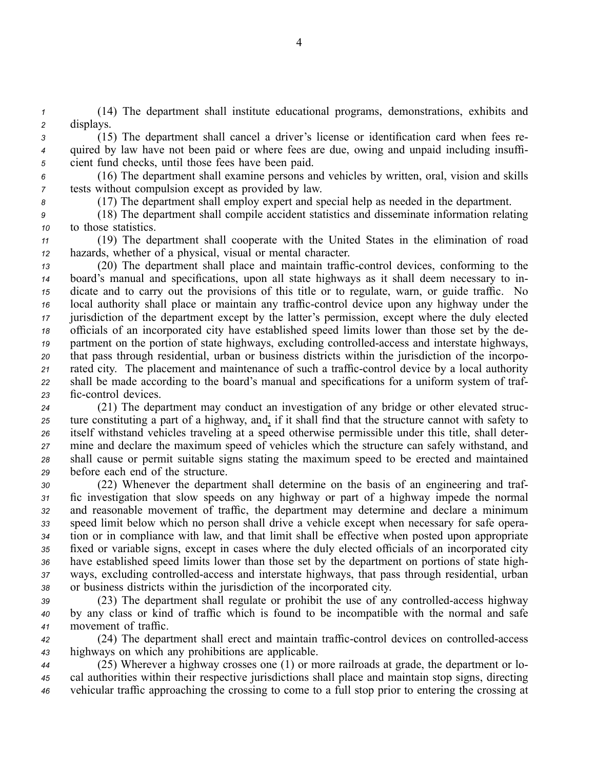*<sup>1</sup>* (14) The department shall institute educational programs, demonstrations, exhibits and *<sup>2</sup>* displays.

*<sup>3</sup>* (15) The department shall cancel <sup>a</sup> driver's license or identification card when fees re-*<sup>4</sup>* quired by law have not been paid or where fees are due, owing and unpaid including insuffi-*<sup>5</sup>* cient fund checks, until those fees have been paid.

*<sup>6</sup>* (16) The department shall examine persons and vehicles by written, oral, vision and skills *<sup>7</sup>* tests without compulsion excep<sup>t</sup> as provided by law.

*<sup>8</sup>* (17) The department shall employ exper<sup>t</sup> and special help as needed in the department.

*<sup>9</sup>* (18) The department shall compile accident statistics and disseminate information relating *<sup>10</sup>* to those statistics.

*<sup>11</sup>* (19) The department shall cooperate with the United States in the elimination of road *<sup>12</sup>* hazards, whether of <sup>a</sup> physical, visual or mental character.

 (20) The department shall place and maintain traffic-control devices, conforming to the board's manual and specifications, upon all state highways as it shall deem necessary to in- dicate and to carry out the provisions of this title or to regulate, warn, or guide traffic. No local authority shall place or maintain any traffic-control device upon any highway under the jurisdiction of the department excep<sup>t</sup> by the latter's permission, excep<sup>t</sup> where the duly elected officials of an incorporated city have established speed limits lower than those set by the de-19 partment on the portion of state highways, excluding controlled-access and interstate highways, that pass through residential, urban or business districts within the jurisdiction of the incorpo-21 rated city. The placement and maintenance of such a traffic-control device by a local authority shall be made according to the board's manual and specifications for <sup>a</sup> uniform system of traf-23 fic-control devices.

 (21) The department may conduct an investigation of any bridge or other elevated struc- ture constituting <sup>a</sup> par<sup>t</sup> of <sup>a</sup> highway, and, if it shall find that the structure cannot with safety to itself withstand vehicles traveling at <sup>a</sup> speed otherwise permissible under this title, shall deter- mine and declare the maximum speed of vehicles which the structure can safely withstand, and shall cause or permit suitable signs stating the maximum speed to be erected and maintained before each end of the structure.

 (22) Whenever the department shall determine on the basis of an engineering and traf- fic investigation that slow speeds on any highway or par<sup>t</sup> of <sup>a</sup> highway impede the normal and reasonable movement of traffic, the department may determine and declare <sup>a</sup> minimum speed limit below which no person shall drive <sup>a</sup> vehicle excep<sup>t</sup> when necessary for safe opera- tion or in compliance with law, and that limit shall be effective when posted upon appropriate fixed or variable signs, excep<sup>t</sup> in cases where the duly elected officials of an incorporated city have established speed limits lower than those set by the department on portions of state high- ways, excluding controlled-access and interstate highways, that pass through residential, urban or business districts within the jurisdiction of the incorporated city.

39 (23) The department shall regulate or prohibit the use of any controlled-access highway *<sup>40</sup>* by any class or kind of traffic which is found to be incompatible with the normal and safe *<sup>41</sup>* movement of traffic.

42 (24) The department shall erect and maintain traffic-control devices on controlled-access *<sup>43</sup>* highways on which any prohibitions are applicable.

*<sup>44</sup>* (25) Wherever <sup>a</sup> highway crosses one (1) or more railroads at grade, the department or lo-*<sup>45</sup>* cal authorities within their respective jurisdictions shall place and maintain stop signs, directing *<sup>46</sup>* vehicular traffic approaching the crossing to come to <sup>a</sup> full stop prior to entering the crossing at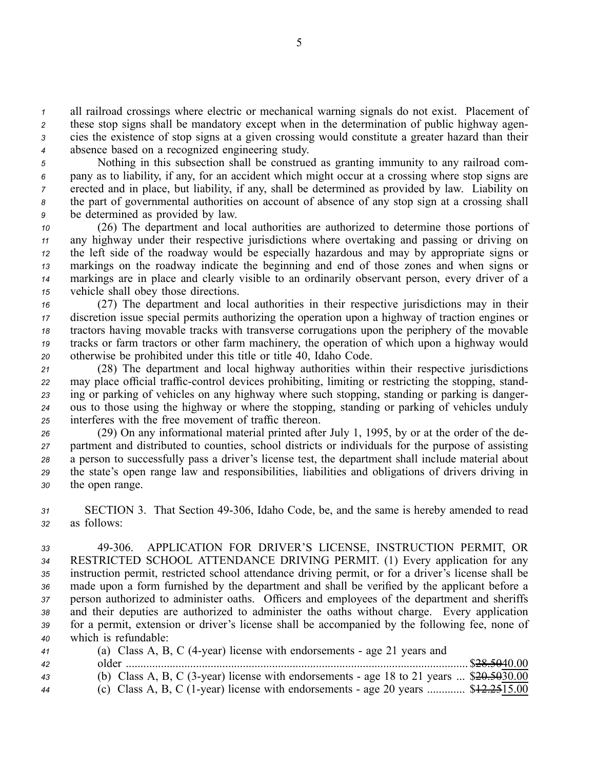all railroad crossings where electric or mechanical warning signals do not exist. Placement of these stop signs shall be mandatory excep<sup>t</sup> when in the determination of public highway agen- cies the existence of stop signs at <sup>a</sup> given crossing would constitute <sup>a</sup> greater hazard than their absence based on <sup>a</sup> recognized engineering study.

 Nothing in this subsection shall be construed as granting immunity to any railroad com- pany as to liability, if any, for an accident which might occur at <sup>a</sup> crossing where stop signs are erected and in place, but liability, if any, shall be determined as provided by law. Liability on the par<sup>t</sup> of governmental authorities on account of absence of any stop sign at <sup>a</sup> crossing shall be determined as provided by law.

 (26) The department and local authorities are authorized to determine those portions of any highway under their respective jurisdictions where overtaking and passing or driving on the left side of the roadway would be especially hazardous and may by appropriate signs or markings on the roadway indicate the beginning and end of those zones and when signs or markings are in place and clearly visible to an ordinarily observant person, every driver of <sup>a</sup> vehicle shall obey those directions.

 (27) The department and local authorities in their respective jurisdictions may in their discretion issue special permits authorizing the operation upon <sup>a</sup> highway of traction engines or tractors having movable tracks with transverse corrugations upon the periphery of the movable tracks or farm tractors or other farm machinery, the operation of which upon <sup>a</sup> highway would otherwise be prohibited under this title or title 40, Idaho Code.

 (28) The department and local highway authorities within their respective jurisdictions 22 may place official traffic-control devices prohibiting, limiting or restricting the stopping, stand- ing or parking of vehicles on any highway where such stopping, standing or parking is danger- ous to those using the highway or where the stopping, standing or parking of vehicles unduly interferes with the free movement of traffic thereon.

 (29) On any informational material printed after July 1, 1995, by or at the order of the de- partment and distributed to counties, school districts or individuals for the purpose of assisting <sup>a</sup> person to successfully pass <sup>a</sup> driver's license test, the department shall include material about the state's open range law and responsibilities, liabilities and obligations of drivers driving in the open range.

*<sup>31</sup>* SECTION 3. That Section 49306, Idaho Code, be, and the same is hereby amended to read *<sup>32</sup>* as follows:

 49306. APPLICATION FOR DRIVER'S LICENSE, INSTRUCTION PERMIT, OR RESTRICTED SCHOOL ATTENDANCE DRIVING PERMIT. (1) Every application for any instruction permit, restricted school attendance driving permit, or for <sup>a</sup> driver's license shall be made upon <sup>a</sup> form furnished by the department and shall be verified by the applicant before <sup>a</sup> person authorized to administer oaths. Officers and employees of the department and sheriffs and their deputies are authorized to administer the oaths without charge. Every application for <sup>a</sup> permit, extension or driver's license shall be accompanied by the following fee, none of which is refundable:

| 41 | (a) Class A, B, C (4-year) license with endorsements - age 21 years and                               |  |
|----|-------------------------------------------------------------------------------------------------------|--|
| 42 |                                                                                                       |  |
| 43 | (b) Class A, B, C (3-year) license with endorsements - age 18 to 21 years $\frac{20.5030}{20.503000}$ |  |
| 44 | (c) Class A, B, C (1-year) license with endorsements - age 20 years $$12.2515.00$                     |  |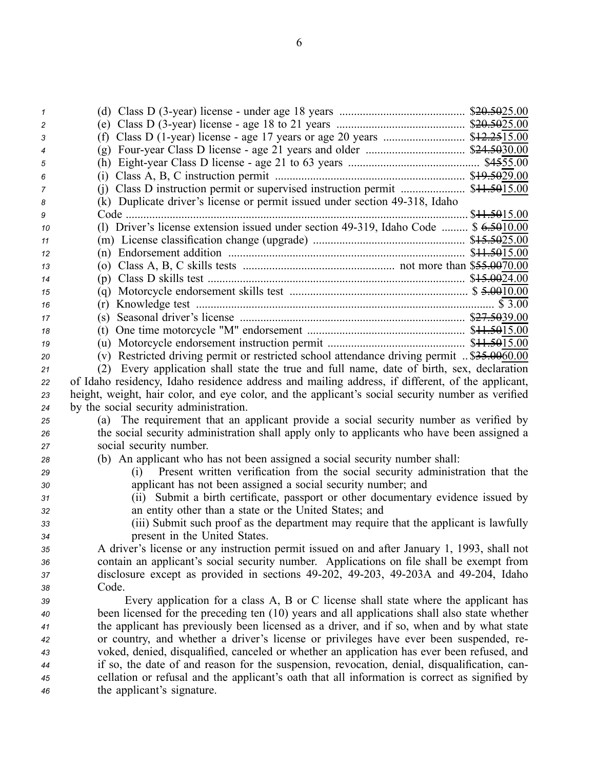| 1  |                                                                                                   |        |
|----|---------------------------------------------------------------------------------------------------|--------|
| 2  |                                                                                                   |        |
| 3  |                                                                                                   |        |
| 4  |                                                                                                   |        |
| 5  |                                                                                                   |        |
| 6  | (i)                                                                                               |        |
| 7  | (j) Class D instruction permit or supervised instruction permit  \$41.5015.00                     |        |
| 8  | (k) Duplicate driver's license or permit issued under section 49-318, Idaho                       |        |
| 9  |                                                                                                   |        |
| 10 | (1) Driver's license extension issued under section 49-319, Idaho Code  \$ 6.5010.00              |        |
| 11 |                                                                                                   |        |
| 12 |                                                                                                   |        |
| 13 |                                                                                                   |        |
| 14 |                                                                                                   |        |
| 15 |                                                                                                   |        |
| 16 | (r)                                                                                               | \$3.00 |
| 17 |                                                                                                   |        |
| 18 |                                                                                                   |        |
| 19 |                                                                                                   |        |
| 20 | (v) Restricted driving permit or restricted school attendance driving permit  \$35.0060.00        |        |
| 21 | (2) Every application shall state the true and full name, date of birth, sex, declaration         |        |
| 22 | of Idaho residency, Idaho residence address and mailing address, if different, of the applicant,  |        |
| 23 | height, weight, hair color, and eye color, and the applicant's social security number as verified |        |
| 24 | by the social security administration.                                                            |        |
| 25 | (a) The requirement that an applicant provide a social security number as verified by             |        |
| 26 | the social security administration shall apply only to applicants who have been assigned a        |        |
| 27 | social security number.                                                                           |        |
| 28 | (b) An applicant who has not been assigned a social security number shall:                        |        |
| 29 | Present written verification from the social security administration that the<br>(i)              |        |
| 30 | applicant has not been assigned a social security number; and                                     |        |
| 31 | (ii) Submit a birth certificate, passport or other documentary evidence issued by                 |        |
| 32 | an entity other than a state or the United States; and                                            |        |
| 33 | (iii) Submit such proof as the department may require that the applicant is lawfully              |        |
| 34 | present in the United States.                                                                     |        |
| 35 | A driver's license or any instruction permit issued on and after January 1, 1993, shall not       |        |
| 36 | contain an applicant's social security number. Applications on file shall be exempt from          |        |
| 37 | disclosure except as provided in sections 49-202, 49-203, 49-203A and 49-204, Idaho               |        |
| 38 | Code.                                                                                             |        |
| 39 | Every application for a class A, B or C license shall state where the applicant has               |        |
| 40 | been licensed for the preceding ten (10) years and all applications shall also state whether      |        |
| 41 | the applicant has previously been licensed as a driver, and if so, when and by what state         |        |
| 42 | or country, and whether a driver's license or privileges have ever been suspended, re-            |        |
| 43 | voked, denied, disqualified, canceled or whether an application has ever been refused, and        |        |
| 44 | if so, the date of and reason for the suspension, revocation, denial, disqualification, can-      |        |
| 45 | cellation or refusal and the applicant's oath that all information is correct as signified by     |        |
| 46 | the applicant's signature.                                                                        |        |
|    |                                                                                                   |        |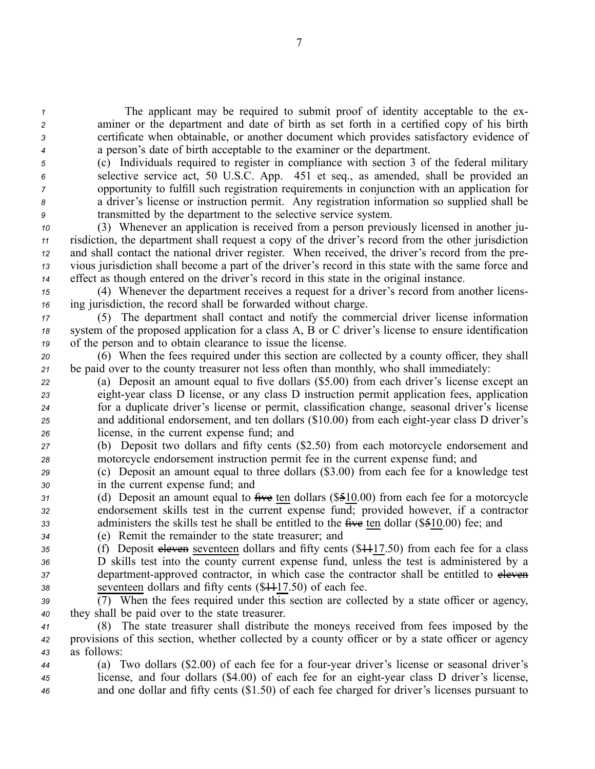The applicant may be required to submit proof of identity acceptable to the ex- aminer or the department and date of birth as set forth in <sup>a</sup> certified copy of his birth certificate when obtainable, or another document which provides satisfactory evidence of <sup>a</sup> person's date of birth acceptable to the examiner or the department.

 (c) Individuals required to register in compliance with section 3 of the federal military selective service act, 50 U.S.C. App. 451 et seq., as amended, shall be provided an opportunity to fulfill such registration requirements in conjunction with an application for <sup>a</sup> driver's license or instruction permit. Any registration information so supplied shall be transmitted by the department to the selective service system.

 (3) Whenever an application is received from <sup>a</sup> person previously licensed in another ju- risdiction, the department shall reques<sup>t</sup> <sup>a</sup> copy of the driver's record from the other jurisdiction and shall contact the national driver register. When received, the driver's record from the pre- vious jurisdiction shall become <sup>a</sup> par<sup>t</sup> of the driver's record in this state with the same force and effect as though entered on the driver's record in this state in the original instance.

*<sup>15</sup>* (4) Whenever the department receives <sup>a</sup> reques<sup>t</sup> for <sup>a</sup> driver's record from another licens-*<sup>16</sup>* ing jurisdiction, the record shall be forwarded without charge.

*<sup>17</sup>* (5) The department shall contact and notify the commercial driver license information *<sup>18</sup>* system of the proposed application for <sup>a</sup> class A, B or C driver's license to ensure identification *<sup>19</sup>* of the person and to obtain clearance to issue the license.

*<sup>20</sup>* (6) When the fees required under this section are collected by <sup>a</sup> county officer, they shall *<sup>21</sup>* be paid over to the county treasurer not less often than monthly, who shall immediately:

 (a) Deposit an amount equal to five dollars (\$5.00) from each driver's license excep<sup>t</sup> an eightyear class D license, or any class D instruction permit application fees, application for <sup>a</sup> duplicate driver's license or permit, classification change, seasonal driver's license 25 and additional endorsement, and ten dollars (\$10.00) from each eight-year class D driver's license, in the current expense fund; and

*<sup>27</sup>* (b) Deposit two dollars and fifty cents (\$2.50) from each motorcycle endorsement and *<sup>28</sup>* motorcycle endorsement instruction permit fee in the current expense fund; and

*<sup>29</sup>* (c) Deposit an amount equal to three dollars (\$3.00) from each fee for <sup>a</sup> knowledge test *<sup>30</sup>* in the current expense fund; and

*<sup>31</sup>* (d) Deposit an amount equal to five ten dollars (\$510.00) from each fee for <sup>a</sup> motorcycle *<sup>32</sup>* endorsement skills test in the current expense fund; provided however, if <sup>a</sup> contractor *<sup>33</sup>* administers the skills test he shall be entitled to the five ten dollar (\$510.00) fee; and

*<sup>34</sup>* (e) Remit the remainder to the state treasurer; and

 (f) Deposit eleven seventeen dollars and fifty cents (\$1117.50) from each fee for <sup>a</sup> class D skills test into the county current expense fund, unless the test is administered by <sup>a</sup> department-approved contractor, in which case the contractor shall be entitled to eleven seventeen dollars and fifty cents (\$1117.50) of each fee.

*<sup>39</sup>* (7) When the fees required under this section are collected by <sup>a</sup> state officer or agency, *<sup>40</sup>* they shall be paid over to the state treasurer.

*<sup>41</sup>* (8) The state treasurer shall distribute the moneys received from fees imposed by the *<sup>42</sup>* provisions of this section, whether collected by <sup>a</sup> county officer or by <sup>a</sup> state officer or agency *<sup>43</sup>* as follows:

*<sup>44</sup>* (a) Two dollars (\$2.00) of each fee for <sup>a</sup> fouryear driver's license or seasonal driver's *<sup>45</sup>* license, and four dollars (\$4.00) of each fee for an eightyear class D driver's license, *<sup>46</sup>* and one dollar and fifty cents (\$1.50) of each fee charged for driver's licenses pursuan<sup>t</sup> to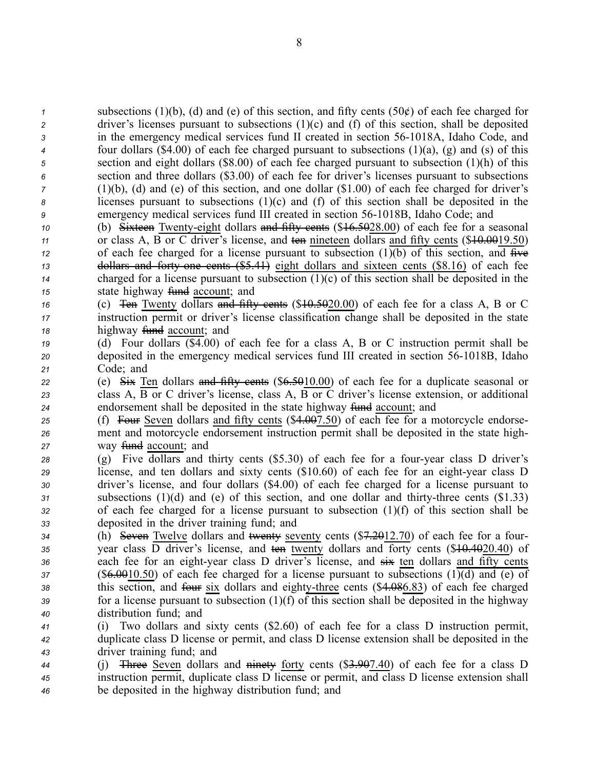subsections (1)(b), (d) and (e) of this section, and fifty cents (50¢) of each fee charged for driver's licenses pursuan<sup>t</sup> to subsections (1)(c) and (f) of this section, shall be deposited in the emergency medical services fund II created in section 56-1018A, Idaho Code, and four dollars (\$4.00) of each fee charged pursuan<sup>t</sup> to subsections (1)(a), (g) and (s) of this section and eight dollars (\$8.00) of each fee charged pursuan<sup>t</sup> to subsection (1)(h) of this section and three dollars (\$3.00) of each fee for driver's licenses pursuan<sup>t</sup> to subsections (1)(b), (d) and (e) of this section, and one dollar (\$1.00) of each fee charged for driver's licenses pursuan<sup>t</sup> to subsections (1)(c) and (f) of this section shall be deposited in the emergency medical services fund III created in section 561018B, Idaho Code; and

 (b) Sixteen Twenty-eight dollars and fifty cents (\$16.5028.00) of each fee for a seasonal 11 or class A, B or C driver's license, and ten nineteen dollars and fifty cents (\$<del>10.00</del>19.50) of each fee charged for a license pursuant to subsection  $(1)(b)$  of this section, and  $f{f{f}}{f{f{f}}}$  **dollars and forty one cents (\$5.41)** eight dollars and sixteen cents (\$8.16) of each fee charged for <sup>a</sup> license pursuan<sup>t</sup> to subsection (1)(c) of this section shall be deposited in the state highway <del>fund</del> account; and

*<sup>16</sup>* (c) Ten Twenty dollars and fifty cents (\$10.5020.00) of each fee for <sup>a</sup> class A, B or C *<sup>17</sup>* instruction permit or driver's license classification change shall be deposited in the state 18 highway <del>fund</del> account; and

- *<sup>19</sup>* (d) Four dollars (\$4.00) of each fee for <sup>a</sup> class A, B or C instruction permit shall be *20* deposited in the emergency medical services fund III created in section 56-1018B, Idaho *<sup>21</sup>* Code; and
- 22 **22** (e) Six Ten dollars and fifty cents (\$6.5010.00) of each fee for a duplicate seasonal or *<sup>23</sup>* class A, B or C driver's license, class A, B or C driver's license extension, or additional **24** endorsement shall be deposited in the state highway fund account; and
- 25 (f) Four Seven dollars and fifty cents (\$4.007.50) of each fee for a motorcycle endorse-*<sup>26</sup>* ment and motorcycle endorsement instruction permit shall be deposited in the state high-*27* way fund account; and
- *<sup>28</sup>* (g) Five dollars and thirty cents (\$5.30) of each fee for <sup>a</sup> fouryear class D driver's *29* license, and ten dollars and sixty cents (\$10.60) of each fee for an eight-year class D *<sup>30</sup>* driver's license, and four dollars (\$4.00) of each fee charged for <sup>a</sup> license pursuan<sup>t</sup> to *<sup>31</sup>* subsections (1)(d) and (e) of this section, and one dollar and thirtythree cents (\$1.33) *<sup>32</sup>* of each fee charged for <sup>a</sup> license pursuan<sup>t</sup> to subsection (1)(f) of this section shall be *<sup>33</sup>* deposited in the driver training fund; and
- *<sup>34</sup>* (h) Seven Twelve dollars and twenty seventy cents (\$7.2012.70) of each fee for <sup>a</sup> four-*<sup>35</sup>* year class D driver's license, and ten twenty dollars and forty cents (\$10.4020.40) of 36 each fee for an eight-year class D driver's license, and  $\frac{1}{2}$  ten dollars and fifty cents *<sup>37</sup>* (\$6.0010.50) of each fee charged for <sup>a</sup> license pursuan<sup>t</sup> to subsections (1)(d) and (e) of 38 this section, and four six dollars and eighty-three cents (\$4.086.83) of each fee charged *<sup>39</sup>* for <sup>a</sup> license pursuan<sup>t</sup> to subsection (1)(f) of this section shall be deposited in the highway *<sup>40</sup>* distribution fund; and
- *<sup>41</sup>* (i) Two dollars and sixty cents (\$2.60) of each fee for <sup>a</sup> class D instruction permit, *<sup>42</sup>* duplicate class D license or permit, and class D license extension shall be deposited in the *<sup>43</sup>* driver training fund; and
- *<sup>44</sup>* (j) Three Seven dollars and ninety forty cents (\$3.907.40) of each fee for <sup>a</sup> class D *<sup>45</sup>* instruction permit, duplicate class D license or permit, and class D license extension shall *<sup>46</sup>* be deposited in the highway distribution fund; and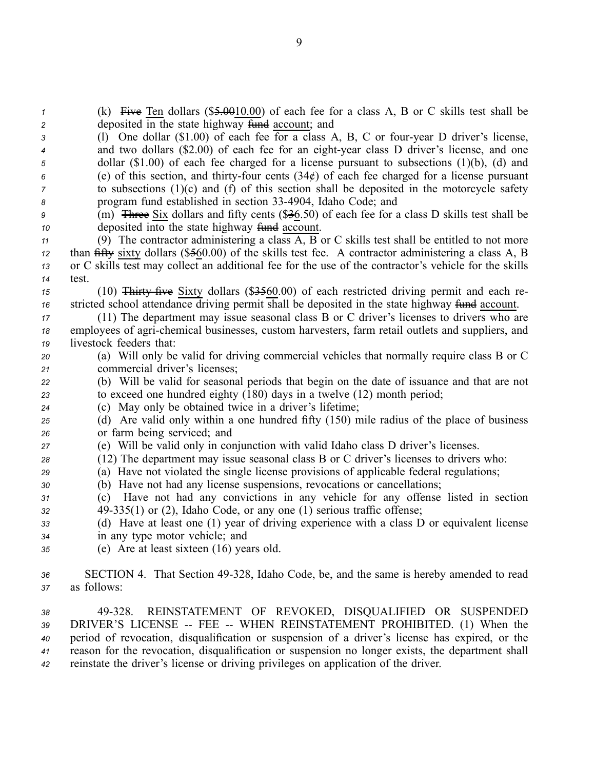*<sup>1</sup>* (k) Five Ten dollars (\$5.0010.00) of each fee for <sup>a</sup> class A, B or C skills test shall be *2* deposited in the state highway fund account; and

 (l) One dollar (\$1.00) of each fee for <sup>a</sup> class A, B, C or fouryear D driver's license, and two dollars (\$2.00) of each fee for an eight-year class D driver's license, and one dollar (\$1.00) of each fee charged for <sup>a</sup> license pursuan<sup>t</sup> to subsections (1)(b), (d) and (e) of this section, and thirty-four cents  $(34¢)$  of each fee charged for a license pursuant to subsections (1)(c) and (f) of this section shall be deposited in the motorcycle safety program fund established in section 334904, Idaho Code; and

*<sup>9</sup>* (m) Three Six dollars and fifty cents (\$36.50) of each fee for <sup>a</sup> class D skills test shall be *10* deposited into the state highway fund account.

 (9) The contractor administering <sup>a</sup> class A, B or C skills test shall be entitled to not more than fifty sixty dollars (\$560.00) of the skills test fee. A contractor administering <sup>a</sup> class A, B or C skills test may collect an additional fee for the use of the contractor's vehicle for the skills *14* test.

15 (10) Thirty five Sixty dollars (\$3560.00) of each restricted driving permit and each re-16 stricted school attendance driving permit shall be deposited in the state highway fund account.

*<sup>17</sup>* (11) The department may issue seasonal class B or C driver's licenses to drivers who are 18 employees of agri-chemical businesses, custom harvesters, farm retail outlets and suppliers, and *<sup>19</sup>* livestock feeders that:

*<sup>20</sup>* (a) Will only be valid for driving commercial vehicles that normally require class B or C *<sup>21</sup>* commercial driver's licenses;

*<sup>22</sup>* (b) Will be valid for seasonal periods that begin on the date of issuance and that are not *<sup>23</sup>* to exceed one hundred eighty (180) days in <sup>a</sup> twelve (12) month period;

*<sup>24</sup>* (c) May only be obtained twice in <sup>a</sup> driver's lifetime;

*<sup>25</sup>* (d) Are valid only within <sup>a</sup> one hundred fifty (150) mile radius of the place of business *<sup>26</sup>* or farm being serviced; and

- *<sup>27</sup>* (e) Will be valid only in conjunction with valid Idaho class D driver's licenses.
- *<sup>28</sup>* (12) The department may issue seasonal class B or C driver's licenses to drivers who:
- *<sup>29</sup>* (a) Have not violated the single license provisions of applicable federal regulations;
- *<sup>30</sup>* (b) Have not had any license suspensions, revocations or cancellations;
- *<sup>31</sup>* (c) Have not had any convictions in any vehicle for any offense listed in section *<sup>32</sup>* 49335(1) or (2), Idaho Code, or any one (1) serious traffic offense;

*<sup>33</sup>* (d) Have at least one (1) year of driving experience with <sup>a</sup> class D or equivalent license *<sup>34</sup>* in any type motor vehicle; and

*<sup>35</sup>* (e) Are at least sixteen (16) years old.

 49328. REINSTATEMENT OF REVOKED, DISQUALIFIED OR SUSPENDED 39 DRIVER'S LICENSE -- FEE -- WHEN REINSTATEMENT PROHIBITED. (1) When the period of revocation, disqualification or suspension of <sup>a</sup> driver's license has expired, or the reason for the revocation, disqualification or suspension no longer exists, the department shall reinstate the driver's license or driving privileges on application of the driver.

*<sup>36</sup>* SECTION 4. That Section 49328, Idaho Code, be, and the same is hereby amended to read *<sup>37</sup>* as follows: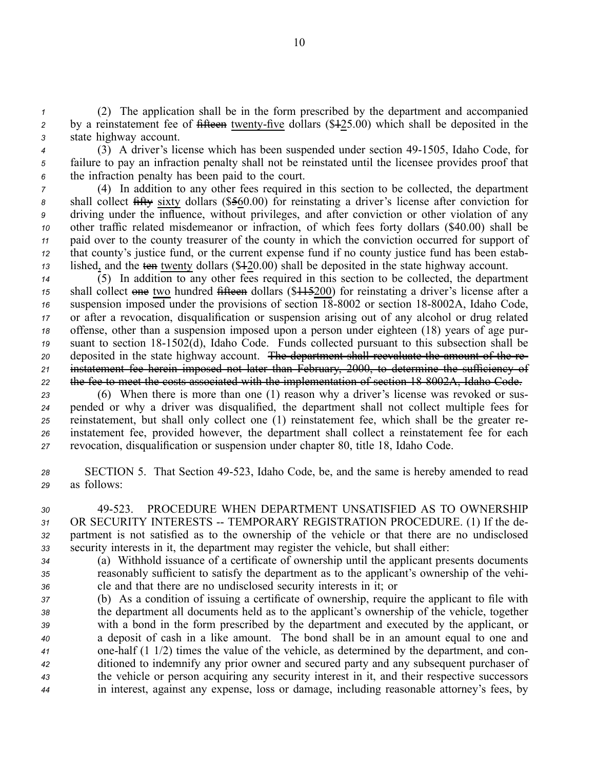*<sup>1</sup>* (2) The application shall be in the form prescribed by the department and accompanied <sup>2</sup> by a reinstatement fee of fifteen twenty-five dollars (\$425.00) which shall be deposited in the *<sup>3</sup>* state highway account.

- *<sup>4</sup>* (3) A driver's license which has been suspended under section 491505, Idaho Code, for *<sup>5</sup>* failure to pay an infraction penalty shall not be reinstated until the licensee provides proof that
- *<sup>6</sup>* the infraction penalty has been paid to the court. *<sup>7</sup>* (4) In addition to any other fees required in this section to be collected, the department *<sup>8</sup>* shall collect fifty sixty dollars (\$560.00) for reinstating <sup>a</sup> driver's license after conviction for *<sup>9</sup>* driving under the influence, without privileges, and after conviction or other violation of any *<sup>10</sup>* other traffic related misdemeanor or infraction, of which fees forty dollars (\$40.00) shall be *<sup>11</sup>* paid over to the county treasurer of the county in which the conviction occurred for suppor<sup>t</sup> of *<sup>12</sup>* that county's justice fund, or the current expense fund if no county justice fund has been estab-*<sup>13</sup>* lished, and the ten twenty dollars (\$120.00) shall be deposited in the state highway account.
- *<sup>14</sup>* (5) In addition to any other fees required in this section to be collected, the department *<sup>15</sup>* shall collect one two hundred fifteen dollars (\$115200) for reinstating <sup>a</sup> driver's license after <sup>a</sup> <sup>16</sup> suspension imposed under the provisions of section 18-8002 or section 18-8002A, Idaho Code, *<sup>17</sup>* or after <sup>a</sup> revocation, disqualification or suspension arising out of any alcohol or drug related *<sup>18</sup>* offense, other than <sup>a</sup> suspension imposed upon <sup>a</sup> person under eighteen (18) years of age pur-<sup>19</sup> suant to section 18-1502(d), Idaho Code. Funds collected pursuant to this subsection shall be *<sup>20</sup>* deposited in the state highway account. The department shall reevaluate the amount of the re-*<sup>21</sup>* instatement fee herein imposed not later than February, 2000, to determine the sufficiency of *<sup>22</sup>* the fee to meet the costs associated with the implementation of section 188002A, Idaho Code.
- *<sup>23</sup>* (6) When there is more than one (1) reason why <sup>a</sup> driver's license was revoked or sus-*<sup>24</sup>* pended or why <sup>a</sup> driver was disqualified, the department shall not collect multiple fees for *<sup>25</sup>* reinstatement, but shall only collect one (1) reinstatement fee, which shall be the greater re-*<sup>26</sup>* instatement fee, provided however, the department shall collect <sup>a</sup> reinstatement fee for each *<sup>27</sup>* revocation, disqualification or suspension under chapter 80, title 18, Idaho Code.
- *<sup>28</sup>* SECTION 5. That Section 49523, Idaho Code, be, and the same is hereby amended to read *<sup>29</sup>* as follows:
- *30* 49523. PROCEDURE WHEN DEPARTMENT UNSATISFIED AS TO OWNERSHIP 31 OR SECURITY INTERESTS -- TEMPORARY REGISTRATION PROCEDURE. (1) If the de-*<sup>32</sup>* partment is not satisfied as to the ownership of the vehicle or that there are no undisclosed *<sup>33</sup>* security interests in it, the department may register the vehicle, but shall either:
- *<sup>34</sup>* (a) Withhold issuance of <sup>a</sup> certificate of ownership until the applicant presents documents *<sup>35</sup>* reasonably sufficient to satisfy the department as to the applicant's ownership of the vehi-*<sup>36</sup>* cle and that there are no undisclosed security interests in it; or
- *<sup>37</sup>* (b) As <sup>a</sup> condition of issuing <sup>a</sup> certificate of ownership, require the applicant to file with *<sup>38</sup>* the department all documents held as to the applicant's ownership of the vehicle, together *<sup>39</sup>* with <sup>a</sup> bond in the form prescribed by the department and executed by the applicant, or *<sup>40</sup>* <sup>a</sup> deposit of cash in <sup>a</sup> like amount. The bond shall be in an amount equal to one and *<sup>41</sup>* onehalf (1 1/2) times the value of the vehicle, as determined by the department, and con-*<sup>42</sup>* ditioned to indemnify any prior owner and secured party and any subsequent purchaser of *<sup>43</sup>* the vehicle or person acquiring any security interest in it, and their respective successors *<sup>44</sup>* in interest, against any expense, loss or damage, including reasonable attorney's fees, by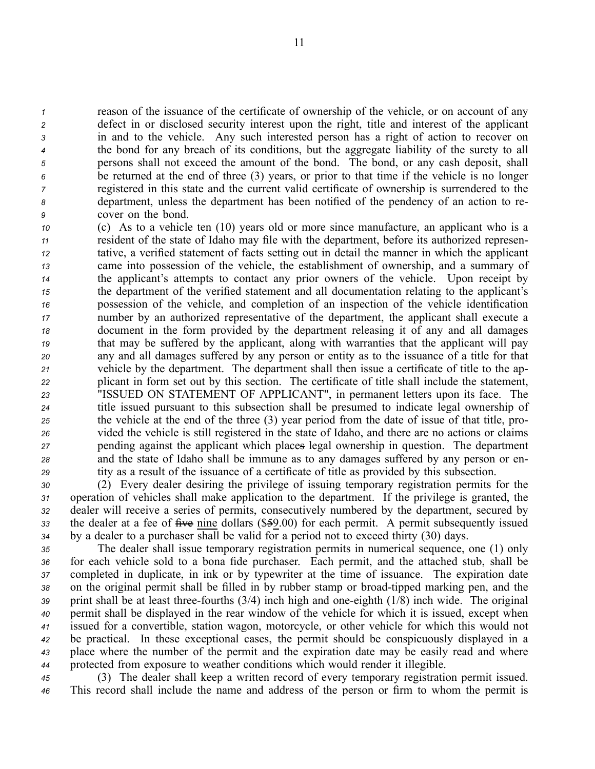reason of the issuance of the certificate of ownership of the vehicle, or on account of any defect in or disclosed security interest upon the right, title and interest of the applicant in and to the vehicle. Any such interested person has <sup>a</sup> right of action to recover on the bond for any breach of its conditions, but the aggregate liability of the surety to all persons shall not exceed the amount of the bond. The bond, or any cash deposit, shall be returned at the end of three (3) years, or prior to that time if the vehicle is no longer registered in this state and the current valid certificate of ownership is surrendered to the department, unless the department has been notified of the pendency of an action to re-cover on the bond.

 (c) As to <sup>a</sup> vehicle ten (10) years old or more since manufacture, an applicant who is <sup>a</sup> resident of the state of Idaho may file with the department, before its authorized represen- tative, <sup>a</sup> verified statement of facts setting out in detail the manner in which the applicant came into possession of the vehicle, the establishment of ownership, and <sup>a</sup> summary of the applicant's attempts to contact any prior owners of the vehicle. Upon receipt by the department of the verified statement and all documentation relating to the applicant's possession of the vehicle, and completion of an inspection of the vehicle identification number by an authorized representative of the department, the applicant shall execute <sup>a</sup> document in the form provided by the department releasing it of any and all damages that may be suffered by the applicant, along with warranties that the applicant will pay any and all damages suffered by any person or entity as to the issuance of <sup>a</sup> title for that vehicle by the department. The department shall then issue <sup>a</sup> certificate of title to the ap- plicant in form set out by this section. The certificate of title shall include the statement, "ISSUED ON STATEMENT OF APPLICANT", in permanen<sup>t</sup> letters upon its face. The title issued pursuan<sup>t</sup> to this subsection shall be presumed to indicate legal ownership of the vehicle at the end of the three (3) year period from the date of issue of that title, pro- vided the vehicle is still registered in the state of Idaho, and there are no actions or claims pending against the applicant which places legal ownership in question. The department and the state of Idaho shall be immune as to any damages suffered by any person or en-tity as <sup>a</sup> result of the issuance of <sup>a</sup> certificate of title as provided by this subsection.

 (2) Every dealer desiring the privilege of issuing temporary registration permits for the operation of vehicles shall make application to the department. If the privilege is granted, the dealer will receive <sup>a</sup> series of permits, consecutively numbered by the department, secured by 33 the dealer at a fee of five nine dollars (\$59.00) for each permit. A permit subsequently issued by <sup>a</sup> dealer to <sup>a</sup> purchaser shall be valid for <sup>a</sup> period not to exceed thirty (30) days.

 The dealer shall issue temporary registration permits in numerical sequence, one (1) only for each vehicle sold to <sup>a</sup> bona fide purchaser. Each permit, and the attached stub, shall be completed in duplicate, in ink or by typewriter at the time of issuance. The expiration date 38 on the original permit shall be filled in by rubber stamp or broad-tipped marking pen, and the 39 print shall be at least three-fourths (3/4) inch high and one-eighth (1/8) inch wide. The original permit shall be displayed in the rear window of the vehicle for which it is issued, excep<sup>t</sup> when issued for <sup>a</sup> convertible, station wagon, motorcycle, or other vehicle for which this would not be practical. In these exceptional cases, the permit should be conspicuously displayed in <sup>a</sup> place where the number of the permit and the expiration date may be easily read and where protected from exposure to weather conditions which would render it illegible.

*<sup>45</sup>* (3) The dealer shall keep <sup>a</sup> written record of every temporary registration permit issued. *<sup>46</sup>* This record shall include the name and address of the person or firm to whom the permit is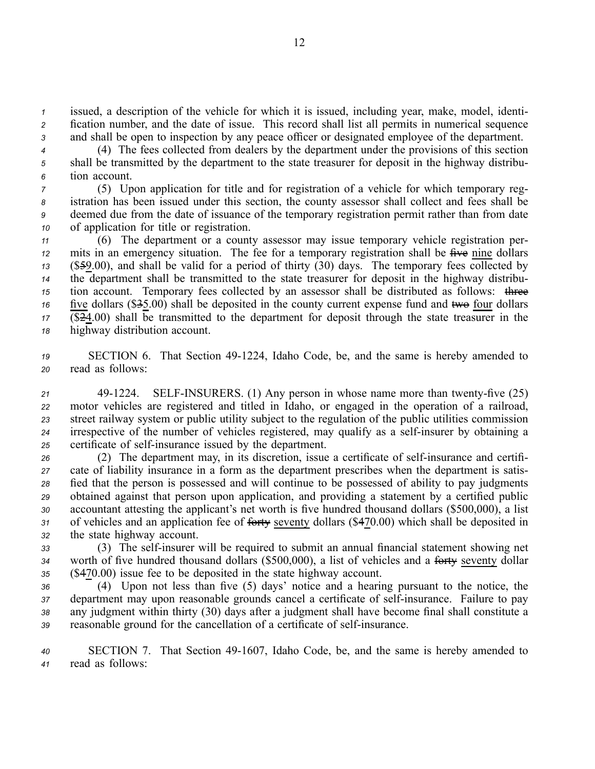*<sup>1</sup>* issued, <sup>a</sup> description of the vehicle for which it is issued, including year, make, model, identi-*<sup>2</sup>* fication number, and the date of issue. This record shall list all permits in numerical sequence *<sup>3</sup>* and shall be open to inspection by any peace officer or designated employee of the department.

*<sup>4</sup>* (4) The fees collected from dealers by the department under the provisions of this section *<sup>5</sup>* shall be transmitted by the department to the state treasurer for deposit in the highway distribu-*<sup>6</sup>* tion account.

 (5) Upon application for title and for registration of <sup>a</sup> vehicle for which temporary reg- istration has been issued under this section, the county assessor shall collect and fees shall be deemed due from the date of issuance of the temporary registration permit rather than from date of application for title or registration.

 (6) The department or <sup>a</sup> county assessor may issue temporary vehicle registration per- mits in an emergency situation. The fee for a temporary registration shall be  $\hat{H}$  we nine dollars (\$59.00), and shall be valid for <sup>a</sup> period of thirty (30) days. The temporary fees collected by the department shall be transmitted to the state treasurer for deposit in the highway distribu- tion account. Temporary fees collected by an assessor shall be distributed as follows: three five dollars (\$<del>3</del>5.00) shall be deposited in the county current expense fund and two four dollars (\$24.00) shall be transmitted to the department for deposit through the state treasurer in the highway distribution account.

*<sup>19</sup>* SECTION 6. That Section 491224, Idaho Code, be, and the same is hereby amended to *<sup>20</sup>* read as follows:

 491224. SELFINSURERS. (1) Any person in whose name more than twentyfive (25) motor vehicles are registered and titled in Idaho, or engaged in the operation of <sup>a</sup> railroad, street railway system or public utility subject to the regulation of the public utilities commission irrespective of the number of vehicles registered, may qualify as a self-insurer by obtaining a 25 certificate of self-insurance issued by the department.

<sup>26</sup> (2) The department may, in its discretion, issue a certificate of self-insurance and certifi- cate of liability insurance in <sup>a</sup> form as the department prescribes when the department is satis- fied that the person is possessed and will continue to be possessed of ability to pay judgments obtained against that person upon application, and providing <sup>a</sup> statement by <sup>a</sup> certified public accountant attesting the applicant's net worth is five hundred thousand dollars (\$500,000), <sup>a</sup> list of vehicles and an application fee of forty seventy dollars (\$470.00) which shall be deposited in the state highway account.

*<sup>33</sup>* (3) The selfinsurer will be required to submit an annual financial statement showing net *<sup>34</sup>* worth of five hundred thousand dollars (\$500,000), <sup>a</sup> list of vehicles and <sup>a</sup> forty seventy dollar *<sup>35</sup>* (\$470.00) issue fee to be deposited in the state highway account.

 (4) Upon not less than five (5) days' notice and <sup>a</sup> hearing pursuan<sup>t</sup> to the notice, the department may upon reasonable grounds cancel a certificate of self-insurance. Failure to pay any judgment within thirty (30) days after <sup>a</sup> judgment shall have become final shall constitute <sup>a</sup> reasonable ground for the cancellation of a certificate of self-insurance.

*<sup>40</sup>* SECTION 7. That Section 491607, Idaho Code, be, and the same is hereby amended to *<sup>41</sup>* read as follows: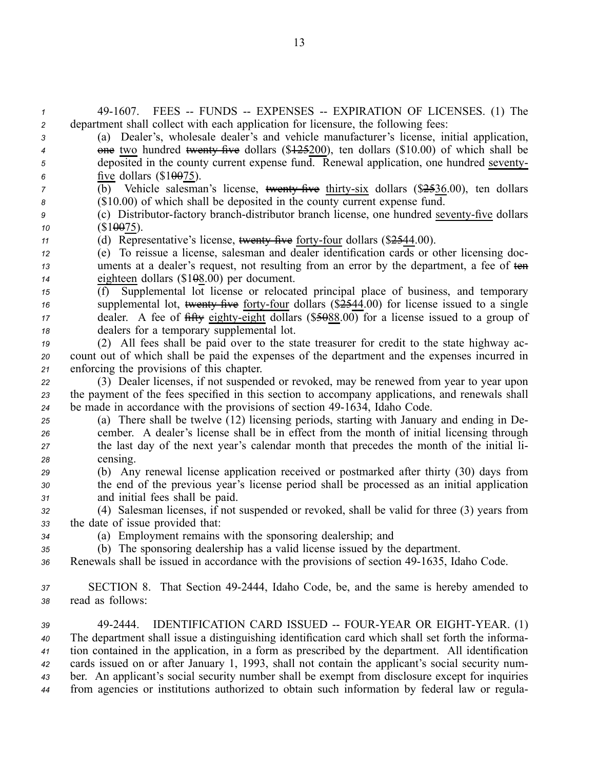491607. FEES FUNDS EXPENSES EXPIRATION OF LICENSES. (1) The department shall collect with each application for licensure, the following fees: (a) Dealer's, wholesale dealer's and vehicle manufacturer's license, initial application, <sup>4</sup> one two hundred twenty five dollars (\$12.5200), ten dollars (\$10.00) of which shall be deposited in the county current expense fund. Renewal application, one hundred seventy- five dollars (\$10075).  $\overline{b}$  (b) Vehicle salesman's license, twenty five thirty-six dollars (\$2536.00), ten dollars (\$10.00) of which shall be deposited in the county current expense fund. (c) Distributor-factory branch-distributor branch license, one hundred seventy-five dollars (\$10075). (d) Representative's license, <del>twenty five</del> forty-four dollars (\$2544.00). (e) To reissue <sup>a</sup> license, salesman and dealer identification cards or other licensing doc- uments at a dealer's request, not resulting from an error by the department, a fee of ten eighteen dollars (\$108.00) per document. (f) Supplemental lot license or relocated principal place of business, and temporary <sup>16</sup> supplemental lot, <del>twenty five</del> forty-four dollars (\$2544.00) for license issued to a single dealer. A fee of  $\frac{f_1 f_2}{f_3}$  eighty-eight dollars (\$5088.00) for a license issued to a group of dealers for <sup>a</sup> temporary supplemental lot. (2) All fees shall be paid over to the state treasurer for credit to the state highway ac- count out of which shall be paid the expenses of the department and the expenses incurred in enforcing the provisions of this chapter. (3) Dealer licenses, if not suspended or revoked, may be renewed from year to year upon the paymen<sup>t</sup> of the fees specified in this section to accompany applications, and renewals shall be made in accordance with the provisions of section 491634, Idaho Code. (a) There shall be twelve (12) licensing periods, starting with January and ending in De- cember. A dealer's license shall be in effect from the month of initial licensing through the last day of the next year's calendar month that precedes the month of the initial li-*<sup>28</sup>* censing. (b) Any renewal license application received or postmarked after thirty (30) days from the end of the previous year's license period shall be processed as an initial application and initial fees shall be paid. (4) Salesman licenses, if not suspended or revoked, shall be valid for three (3) years from the date of issue provided that: (a) Employment remains with the sponsoring dealership; and (b) The sponsoring dealership has <sup>a</sup> valid license issued by the department. 36 Renewals shall be issued in accordance with the provisions of section 49-1635, Idaho Code. SECTION 8. That Section 492444, Idaho Code, be, and the same is hereby amended to read as follows: 39 49-2444. IDENTIFICATION CARD ISSUED -- FOUR-YEAR OR EIGHT-YEAR. (1) The department shall issue <sup>a</sup> distinguishing identification card which shall set forth the informa- tion contained in the application, in <sup>a</sup> form as prescribed by the department. All identification cards issued on or after January 1, 1993, shall not contain the applicant's social security num- ber. An applicant's social security number shall be exemp<sup>t</sup> from disclosure excep<sup>t</sup> for inquiries from agencies or institutions authorized to obtain such information by federal law or regula

13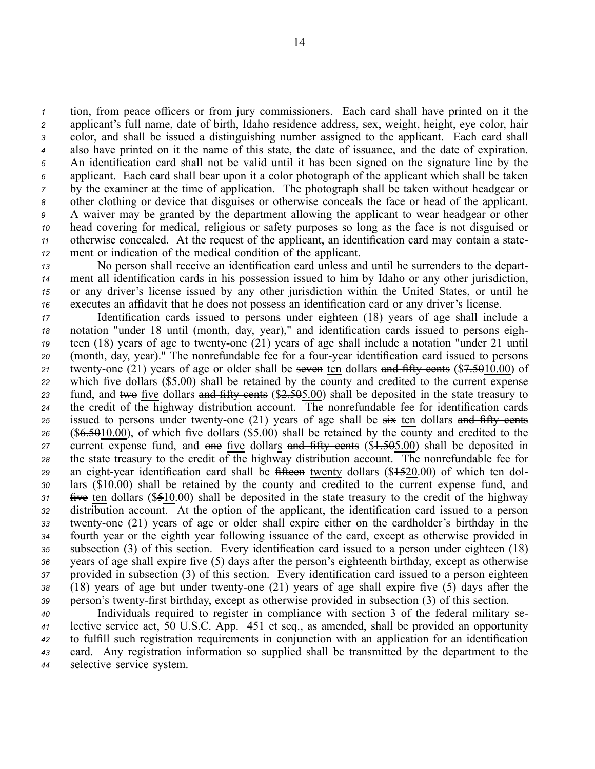tion, from peace officers or from jury commissioners. Each card shall have printed on it the applicant's full name, date of birth, Idaho residence address, sex, weight, height, eye color, hair color, and shall be issued <sup>a</sup> distinguishing number assigned to the applicant. Each card shall also have printed on it the name of this state, the date of issuance, and the date of expiration. An identification card shall not be valid until it has been signed on the signature line by the applicant. Each card shall bear upon it <sup>a</sup> color photograph of the applicant which shall be taken by the examiner at the time of application. The photograph shall be taken without headgear or other clothing or device that disguises or otherwise conceals the face or head of the applicant. A waiver may be granted by the department allowing the applicant to wear headgear or other head covering for medical, religious or safety purposes so long as the face is not disguised or otherwise concealed. At the reques<sup>t</sup> of the applicant, an identification card may contain <sup>a</sup> state-ment or indication of the medical condition of the applicant.

 No person shall receive an identification card unless and until he surrenders to the depart- ment all identification cards in his possession issued to him by Idaho or any other jurisdiction, or any driver's license issued by any other jurisdiction within the United States, or until he executes an affidavit that he does not possess an identification card or any driver's license.

 Identification cards issued to persons under eighteen (18) years of age shall include <sup>a</sup> notation "under 18 until (month, day, year)," and identification cards issued to persons eigh- teen (18) years of age to twenty-one (21) years of age shall include a notation "under 21 until (month, day, year)." The nonrefundable fee for a four-year identification card issued to persons twenty-one (21) years of age or older shall be seven ten dollars and fifty cents (\$7.5010.00) of which five dollars (\$5.00) shall be retained by the county and credited to the current expense fund, and two five dollars and fifty cents (\$2.505.00) shall be deposited in the state treasury to the credit of the highway distribution account. The nonrefundable fee for identification cards issued to persons under twenty-one  $(21)$  years of age shall be  $\frac{1}{2}$  ten dollars and fifty cents (\$6.5010.00), of which five dollars (\$5.00) shall be retained by the county and credited to the current expense fund, and one five dollars and fifty cents (\$1.505.00) shall be deposited in the state treasury to the credit of the highway distribution account. The nonrefundable fee for an eight-year identification card shall be fifteen twenty dollars (\$1520.00) of which ten dol- lars (\$10.00) shall be retained by the county and credited to the current expense fund, and five ten dollars (\$510.00) shall be deposited in the state treasury to the credit of the highway distribution account. At the option of the applicant, the identification card issued to <sup>a</sup> person 33 twenty-one (21) years of age or older shall expire either on the cardholder's birthday in the fourth year or the eighth year following issuance of the card, excep<sup>t</sup> as otherwise provided in subsection (3) of this section. Every identification card issued to <sup>a</sup> person under eighteen (18) years of age shall expire five (5) days after the person's eighteenth birthday, excep<sup>t</sup> as otherwise provided in subsection (3) of this section. Every identification card issued to <sup>a</sup> person eighteen 38 (18) years of age but under twenty-one (21) years of age shall expire five (5) days after the 39 person's twenty-first birthday, except as otherwise provided in subsection (3) of this section.

 Individuals required to register in compliance with section 3 of the federal military se- lective service act, 50 U.S.C. App. 451 et seq., as amended, shall be provided an opportunity to fulfill such registration requirements in conjunction with an application for an identification card. Any registration information so supplied shall be transmitted by the department to the selective service system.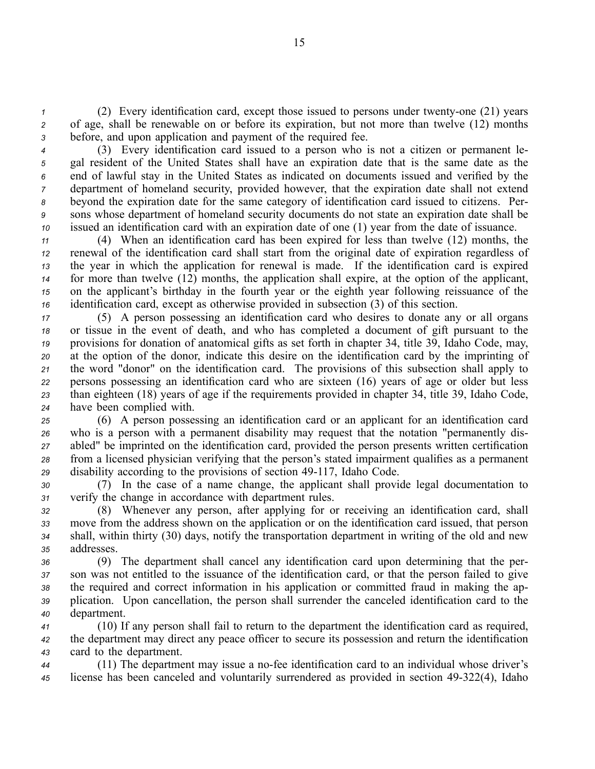*1* (2) Every identification card, except those issued to persons under twenty-one (21) years *<sup>2</sup>* of age, shall be renewable on or before its expiration, but not more than twelve (12) months *<sup>3</sup>* before, and upon application and paymen<sup>t</sup> of the required fee.

 (3) Every identification card issued to <sup>a</sup> person who is not <sup>a</sup> citizen or permanen<sup>t</sup> le- gal resident of the United States shall have an expiration date that is the same date as the end of lawful stay in the United States as indicated on documents issued and verified by the department of homeland security, provided however, that the expiration date shall not extend beyond the expiration date for the same category of identification card issued to citizens. Per- sons whose department of homeland security documents do not state an expiration date shall be issued an identification card with an expiration date of one (1) year from the date of issuance.

 (4) When an identification card has been expired for less than twelve (12) months, the renewal of the identification card shall start from the original date of expiration regardless of the year in which the application for renewal is made. If the identification card is expired for more than twelve (12) months, the application shall expire, at the option of the applicant, on the applicant's birthday in the fourth year or the eighth year following reissuance of the identification card, excep<sup>t</sup> as otherwise provided in subsection (3) of this section.

 (5) A person possessing an identification card who desires to donate any or all organs or tissue in the event of death, and who has completed <sup>a</sup> document of gift pursuan<sup>t</sup> to the provisions for donation of anatomical gifts as set forth in chapter 34, title 39, Idaho Code, may, at the option of the donor, indicate this desire on the identification card by the imprinting of the word "donor" on the identification card. The provisions of this subsection shall apply to persons possessing an identification card who are sixteen (16) years of age or older but less than eighteen (18) years of age if the requirements provided in chapter 34, title 39, Idaho Code, have been complied with.

 (6) A person possessing an identification card or an applicant for an identification card who is <sup>a</sup> person with <sup>a</sup> permanen<sup>t</sup> disability may reques<sup>t</sup> that the notation "permanently dis- abled" be imprinted on the identification card, provided the person presents written certification from <sup>a</sup> licensed physician verifying that the person's stated impairment qualifies as <sup>a</sup> permanen<sup>t</sup> 29 disability according to the provisions of section 49-117, Idaho Code.

*<sup>30</sup>* (7) In the case of <sup>a</sup> name change, the applicant shall provide legal documentation to *<sup>31</sup>* verify the change in accordance with department rules.

 (8) Whenever any person, after applying for or receiving an identification card, shall move from the address shown on the application or on the identification card issued, that person shall, within thirty (30) days, notify the transportation department in writing of the old and new addresses.

 (9) The department shall cancel any identification card upon determining that the per- son was not entitled to the issuance of the identification card, or that the person failed to give the required and correct information in his application or committed fraud in making the ap- plication. Upon cancellation, the person shall surrender the canceled identification card to the department.

*<sup>41</sup>* (10) If any person shall fail to return to the department the identification card as required, *<sup>42</sup>* the department may direct any peace officer to secure its possession and return the identification *<sup>43</sup>* card to the department.

44 (11) The department may issue a no-fee identification card to an individual whose driver's 45 license has been canceled and voluntarily surrendered as provided in section 49-322(4), Idaho